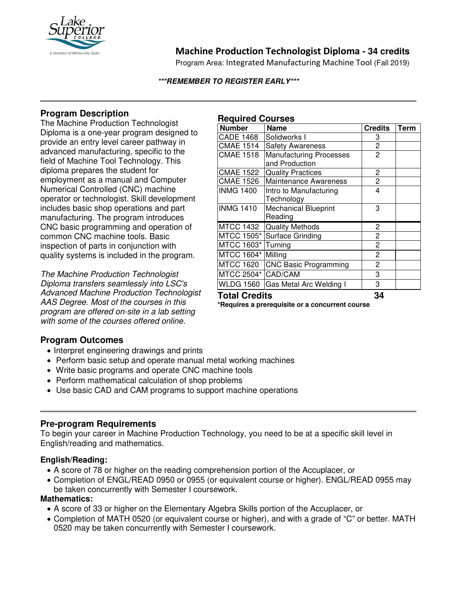

# **Machine Production Technologist Diploma - 34 credits**

Program Area: Integrated Manufacturing Machine Tool (Fall 2019)

#### **\*\*\*REMEMBER TO REGISTER EARLY\*\*\***

# **Program Description**

The Machine Production Technologist Diploma is a one-year program designed to provide an entry level career pathway in advanced manufacturing, specific to the field of Machine Tool Technology. This diploma prepares the student for employment as a manual and Computer Numerical Controlled (CNC) machine operator or technologist. Skill development includes basic shop operations and part manufacturing. The program introduces CNC basic programming and operation of common CNC machine tools. Basic inspection of parts in conjunction with quality systems is included in the program.

*The Machine Production Technologist Diploma transfers seamlessly into LSC's Advanced Machine Production Technologist AAS Degree. Most of the courses in this program are offered on-site in a lab setting with some of the courses offered online.*

### **Required Courses**

| <b>Number</b>        | <b>Name</b>                       | <b>Credits</b> | <b>Term</b> |
|----------------------|-----------------------------------|----------------|-------------|
| <b>CADE 1468</b>     | Solidworks I                      | 3              |             |
| <b>CMAE 1514</b>     | <b>Safety Awareness</b>           | 2              |             |
| <b>CMAE 1518</b>     | <b>Manufacturing Processes</b>    | $\overline{c}$ |             |
|                      | and Production                    |                |             |
| <b>CMAE 1522</b>     | <b>Quality Practices</b>          | 2              |             |
| <b>CMAE 1526</b>     | <b>Maintenance Awareness</b>      | $\overline{c}$ |             |
| <b>INMG 1400</b>     | Intro to Manufacturing            | 4              |             |
|                      | Technology                        |                |             |
| <b>INMG 1410</b>     | <b>Mechanical Blueprint</b>       | 3              |             |
|                      | Reading                           |                |             |
| <b>MTCC 1432</b>     | <b>Quality Methods</b>            | 2              |             |
|                      | MTCC 1505* Surface Grinding       | $\overline{c}$ |             |
| MTCC 1603*           | Turning                           | $\overline{c}$ |             |
| MTCC 1604*           | Milling                           | $\overline{c}$ |             |
| <b>MTCC 1620</b>     | <b>CNC Basic Programming</b>      | $\overline{2}$ |             |
| MTCC 2504* CAD/CAM   |                                   | 3              |             |
|                      | WLDG 1560 Gas Metal Arc Welding I | 3              |             |
| <b>Total Credits</b> |                                   | 34             |             |

**\*Requires a prerequisite or a concurrent course**

## **Program Outcomes**

- Interpret engineering drawings and prints
- Perform basic setup and operate manual metal working machines
- Write basic programs and operate CNC machine tools
- Perform mathematical calculation of shop problems
- Use basic CAD and CAM programs to support machine operations

## **Pre-program Requirements**

To begin your career in Machine Production Technology, you need to be at a specific skill level in English/reading and mathematics.

### **English/Reading:**

- A score of 78 or higher on the reading comprehension portion of the Accuplacer, or
- Completion of ENGL/READ 0950 or 0955 (or equivalent course or higher). ENGL/READ 0955 may be taken concurrently with Semester I coursework.

#### **Mathematics:**

- A score of 33 or higher on the Elementary Algebra Skills portion of the Accuplacer, or
- Completion of MATH 0520 (or equivalent course or higher), and with a grade of "C" or better. MATH 0520 may be taken concurrently with Semester I coursework.